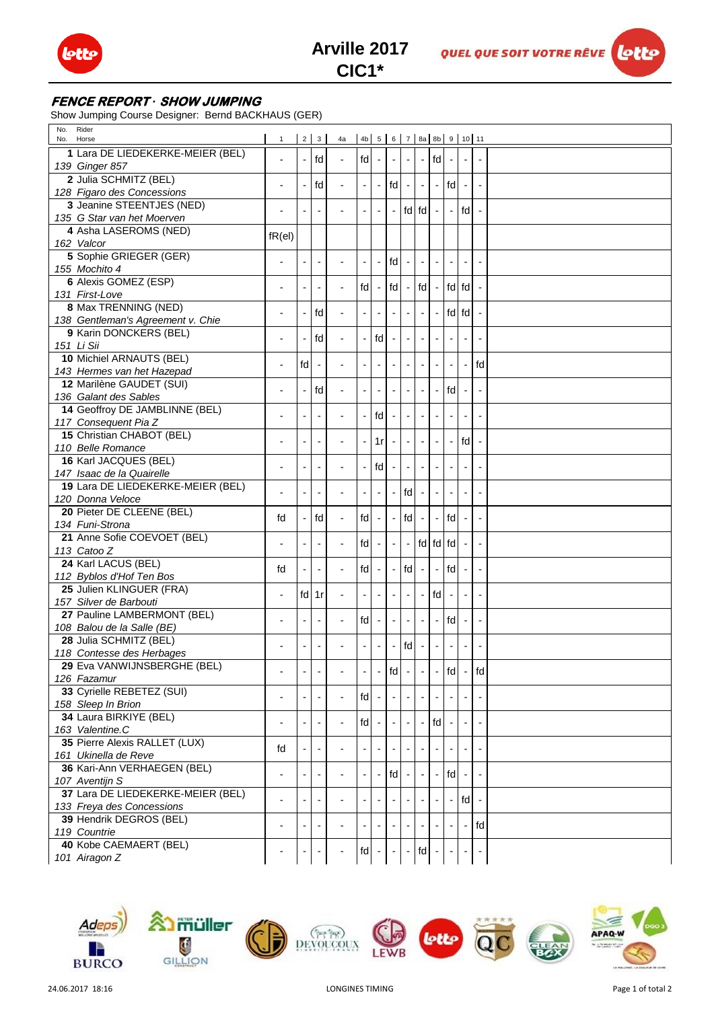## **FENCE REPORT** *·* **SHOW JUMPING**

Show Jumping Course Designer: Bernd BACKHAUS (GER)

| No. Rider                              |                |                          |                          |                                                     |                          |    |                             |                          |                          |                          |                          |                          |      |  |
|----------------------------------------|----------------|--------------------------|--------------------------|-----------------------------------------------------|--------------------------|----|-----------------------------|--------------------------|--------------------------|--------------------------|--------------------------|--------------------------|------|--|
| No. Horse                              | $\mathbf{1}$   |                          |                          | 2   3   4a   4b   5   6   7   8a   8b   9   10   11 |                          |    |                             |                          |                          |                          |                          |                          |      |  |
| 1 Lara DE LIEDEKERKE-MEIER (BEL)       |                | $\overline{a}$           | fd                       | $\overline{\phantom{a}}$                            | $\mathsf{fd}$ -          |    | $\mathcal{L}$               |                          |                          | fd                       |                          |                          |      |  |
| 139 Ginger 857                         |                |                          |                          |                                                     |                          |    |                             |                          |                          |                          |                          |                          |      |  |
| 2 Julia SCHMITZ (BEL)                  |                | L,                       | fd                       | $\blacksquare$                                      |                          |    | fd                          | $\overline{\phantom{a}}$ | $\overline{\phantom{a}}$ | $\overline{\phantom{a}}$ | fd                       |                          |      |  |
| 128 Figaro des Concessions             |                |                          |                          |                                                     |                          |    |                             |                          |                          |                          |                          |                          |      |  |
| 3 Jeanine STEENTJES (NED)              |                |                          |                          |                                                     |                          |    | $\mathcal{L}$               |                          | $f d f d -$              |                          | $\sim$                   | fd                       |      |  |
| 135 G Star van het Moerven             |                |                          |                          |                                                     |                          |    |                             |                          |                          |                          |                          |                          |      |  |
| 4 Asha LASEROMS (NED)                  | $fR$ (el)      |                          |                          |                                                     |                          |    |                             |                          |                          |                          |                          |                          |      |  |
| 162 Valcor                             |                |                          |                          |                                                     |                          |    |                             |                          |                          |                          |                          |                          |      |  |
| 5 Sophie GRIEGER (GER)                 |                | $\overline{\phantom{a}}$ |                          |                                                     |                          |    | fd                          |                          |                          |                          |                          |                          |      |  |
| 155 Mochito 4                          |                |                          |                          |                                                     |                          |    |                             |                          |                          |                          |                          |                          |      |  |
| 6 Alexis GOMEZ (ESP)                   | $\overline{a}$ | $\overline{a}$           | $\overline{\phantom{a}}$ | $\overline{\phantom{a}}$                            | fd                       |    | fd                          | $\blacksquare$           | $\mathsf{fd}$ -          |                          |                          | fd fd                    |      |  |
| 131 First-Love<br>8 Max TRENNING (NED) |                |                          |                          |                                                     |                          |    |                             |                          |                          |                          |                          |                          |      |  |
| 138 Gentleman's Agreement v. Chie      |                | $\frac{1}{2}$            | fd                       | $\blacksquare$                                      | $\overline{\phantom{a}}$ |    | $\overline{\phantom{a}}$    |                          |                          | $\overline{\phantom{a}}$ |                          | fd fd -                  |      |  |
| 9 Karin DONCKERS (BEL)                 |                |                          |                          |                                                     |                          |    |                             |                          |                          |                          |                          |                          |      |  |
| 151 Li Sii                             |                |                          | fd                       | $\overline{\phantom{a}}$                            | $\overline{\phantom{a}}$ | fd | $\overline{\phantom{a}}$    | $\overline{\phantom{a}}$ | $\overline{a}$           | $\overline{\phantom{a}}$ | $\overline{\phantom{a}}$ | $\overline{\phantom{a}}$ |      |  |
| 10 Michiel ARNAUTS (BEL)               |                |                          |                          |                                                     |                          |    |                             |                          |                          |                          |                          |                          |      |  |
| 143 Hermes van het Hazepad             |                | fd                       |                          |                                                     |                          |    |                             |                          |                          |                          |                          | $\overline{\phantom{a}}$ | fd   |  |
| 12 Marilène GAUDET (SUI)               |                |                          |                          |                                                     |                          |    |                             |                          |                          |                          |                          |                          |      |  |
| 136 Galant des Sables                  |                | ÷,                       | fd                       |                                                     |                          |    |                             |                          |                          | $\overline{\phantom{a}}$ | fd                       |                          |      |  |
| 14 Geoffroy DE JAMBLINNE (BEL)         |                |                          |                          |                                                     |                          |    |                             |                          |                          |                          |                          |                          |      |  |
| 117 Consequent Pia Z                   |                | ÷                        | $\overline{\phantom{a}}$ | $\overline{a}$                                      | $\blacksquare$           | fd |                             |                          |                          |                          |                          |                          |      |  |
| 15 Christian CHABOT (BEL)              |                |                          |                          |                                                     |                          |    |                             |                          |                          |                          |                          |                          |      |  |
| 110 Belle Romance                      |                |                          |                          |                                                     |                          | 1r |                             |                          |                          |                          |                          | fd                       |      |  |
| 16 Karl JACQUES (BEL)                  |                |                          |                          |                                                     |                          |    |                             |                          |                          |                          |                          |                          |      |  |
| 147 Isaac de la Quairelle              |                | $\overline{\phantom{a}}$ | $\overline{\phantom{a}}$ |                                                     | $\overline{\phantom{a}}$ | fd | $\overline{\phantom{a}}$    | $\overline{\phantom{a}}$ | $\overline{\phantom{a}}$ | $\overline{\phantom{a}}$ | $\overline{\phantom{a}}$ | $\blacksquare$           |      |  |
| 19 Lara DE LIEDEKERKE-MEIER (BEL)      |                |                          |                          |                                                     |                          |    |                             |                          |                          |                          |                          |                          |      |  |
| 120 Donna Veloce                       |                |                          |                          |                                                     |                          |    | $\overline{\phantom{a}}$    | fd                       |                          |                          |                          |                          |      |  |
| 20 Pieter DE CLEENE (BEL)              |                |                          |                          |                                                     |                          |    |                             |                          |                          |                          |                          |                          |      |  |
| 134 Funi-Strona                        | fd             | $\frac{1}{2}$            | fd                       | $\overline{\phantom{a}}$                            | fd                       |    | $\mathcal{L}_{\mathcal{A}}$ | fd                       | $\overline{\phantom{a}}$ | $\overline{\phantom{a}}$ | fd                       | $\overline{\phantom{a}}$ |      |  |
| 21 Anne Sofie COEVOET (BEL)            |                |                          |                          |                                                     |                          |    |                             |                          |                          |                          |                          |                          |      |  |
| 113 Catoo Z                            |                |                          |                          | $\overline{\phantom{a}}$                            | fd                       |    | $\overline{\phantom{a}}$    |                          |                          | fd fd fd                 |                          |                          |      |  |
| 24 Karl LACUS (BEL)                    |                |                          |                          |                                                     |                          |    | $\mathbb{Z}^2$              |                          |                          |                          |                          |                          |      |  |
| 112 Byblos d'Hof Ten Bos               | fd             |                          | $\blacksquare$           |                                                     | fd                       |    |                             | fd                       | $\sim$                   |                          | $-$ fd                   | $\overline{\phantom{a}}$ |      |  |
| 25 Julien KLINGUER (FRA)               |                |                          | $fd$ 1r                  |                                                     |                          |    |                             |                          |                          | $\operatorname{\sf fd}$  |                          |                          |      |  |
| 157 Silver de Barbouti                 |                |                          |                          |                                                     |                          |    | $\overline{\phantom{a}}$    |                          |                          |                          |                          |                          |      |  |
| 27 Pauline LAMBERMONT (BEL)            |                |                          | $\blacksquare$           |                                                     | fd                       |    | $\blacksquare$              |                          |                          | $\overline{\phantom{a}}$ | fd                       |                          |      |  |
| 108 Balou de la Salle (BE)             |                |                          |                          |                                                     |                          |    |                             |                          |                          |                          |                          |                          |      |  |
| 28 Julia SCHMITZ (BEL)                 |                | ÷                        | $\overline{\phantom{a}}$ |                                                     |                          |    | $\overline{\phantom{a}}$    | fd                       |                          |                          |                          |                          |      |  |
| 118 Contesse des Herbages              |                |                          |                          |                                                     |                          |    |                             |                          |                          |                          |                          |                          |      |  |
| 29 Eva VANWIJNSBERGHE (BEL)            |                |                          |                          |                                                     |                          |    | $f d$ -                     |                          |                          |                          | fd                       |                          | fd   |  |
| 126 Fazamur                            |                |                          |                          |                                                     |                          |    |                             |                          |                          |                          |                          |                          |      |  |
| 33 Cyrielle REBETEZ (SUI)              |                |                          |                          |                                                     | fd                       |    |                             |                          |                          |                          |                          |                          |      |  |
| 158 Sleep In Brion                     |                |                          |                          |                                                     |                          |    |                             |                          |                          |                          |                          |                          |      |  |
| 34 Laura BIRKIYE (BEL)                 |                |                          |                          |                                                     | fd                       |    |                             |                          |                          | fd                       |                          |                          |      |  |
| 163 Valentine.C                        |                |                          |                          |                                                     |                          |    |                             |                          |                          |                          |                          |                          |      |  |
| 35 Pierre Alexis RALLET (LUX)          | fd             |                          |                          |                                                     |                          |    |                             |                          |                          |                          |                          |                          |      |  |
| 161 Ukinella de Reve                   |                |                          |                          |                                                     |                          |    |                             |                          |                          |                          |                          |                          |      |  |
| 36 Kari-Ann VERHAEGEN (BEL)            |                |                          |                          |                                                     |                          |    | fd                          |                          |                          |                          | l fd                     |                          |      |  |
| 107 Aventijn S                         |                |                          |                          |                                                     |                          |    |                             |                          |                          |                          |                          |                          |      |  |
| 37 Lara DE LIEDEKERKE-MEIER (BEL)      |                |                          |                          |                                                     |                          |    |                             |                          |                          |                          |                          | fd                       |      |  |
| 133 Freya des Concessions              |                |                          |                          |                                                     |                          |    |                             |                          |                          |                          |                          |                          |      |  |
| 39 Hendrik DEGROS (BEL)                |                |                          |                          |                                                     |                          |    |                             |                          |                          |                          |                          |                          | l fd |  |
| 119 Countrie                           |                |                          |                          |                                                     |                          |    |                             |                          |                          |                          |                          |                          |      |  |
| 40 Kobe CAEMAERT (BEL)                 |                |                          |                          |                                                     | fd                       |    |                             |                          | fd                       |                          |                          |                          |      |  |
| 101 Airagon Z                          |                |                          |                          |                                                     |                          |    |                             |                          |                          |                          |                          |                          |      |  |